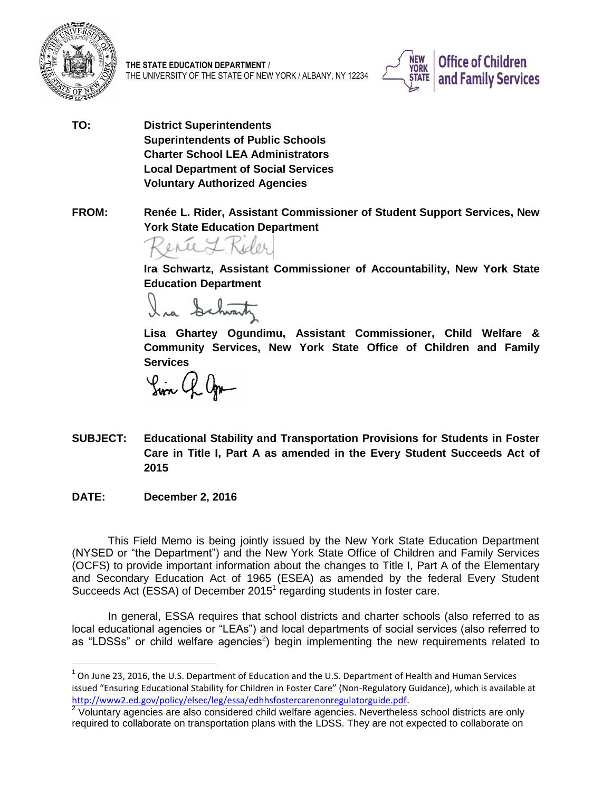

**THE STATE EDUCATION DEPARTMENT** / THE UNIVERSITY OF THE STATE OF NEW YORK / ALBANY, NY 12234



- **TO: District Superintendents Superintendents of Public Schools Charter School LEA Administrators Local Department of Social Services Voluntary Authorized Agencies**
- **FROM: Renée L. Rider, Assistant Commissioner of Student Support Services, New York State Education Department**

**Ira Schwartz, Assistant Commissioner of Accountability, New York State Education Department** 

Ira Schwartz

**Lisa Ghartey Ogundimu, Assistant Commissioner, Child Welfare & Community Services, New York State Office of Children and Family Services** 

Sin Q Ogn

- **SUBJECT: Educational Stability and Transportation Provisions for Students in Foster Care in Title I, Part A as amended in the Every Student Succeeds Act of 2015**
- **DATE: December 2, 2016**

This Field Memo is being jointly issued by the New York State Education Department (NYSED or "the Department") and the New York State Office of Children and Family Services (OCFS) to provide important information about the changes to Title I, Part A of the Elementary and Secondary Education Act of 1965 (ESEA) as amended by the federal Every Student Succeeds Act  $(ESSA)$  of December 2015<sup>1</sup> regarding students in foster care.

In general, ESSA requires that school districts and charter schools (also referred to as local educational agencies or "LEAs") and local departments of social services (also referred to as "LDSSs" or child welfare agencies<sup>2</sup>) begin implementing the new requirements related to

 $^{1}$  On June 23, 2016, the U.S. Department of Education and the U.S. Department of Health and Human Services issued "Ensuring Educational Stability for Children in Foster Care" (Non-Regulatory Guidance), which is available at [http://www2.ed.gov/policy/elsec/leg/essa/edhhsfostercarenonregulatorguide.pdf.](http://www2.ed.gov/policy/elsec/leg/essa/edhhsfostercarenonregulatorguide.pdf)

 $2$  Voluntary agencies are also considered child welfare agencies. Nevertheless school districts are only required to collaborate on transportation plans with the LDSS. They are not expected to collaborate on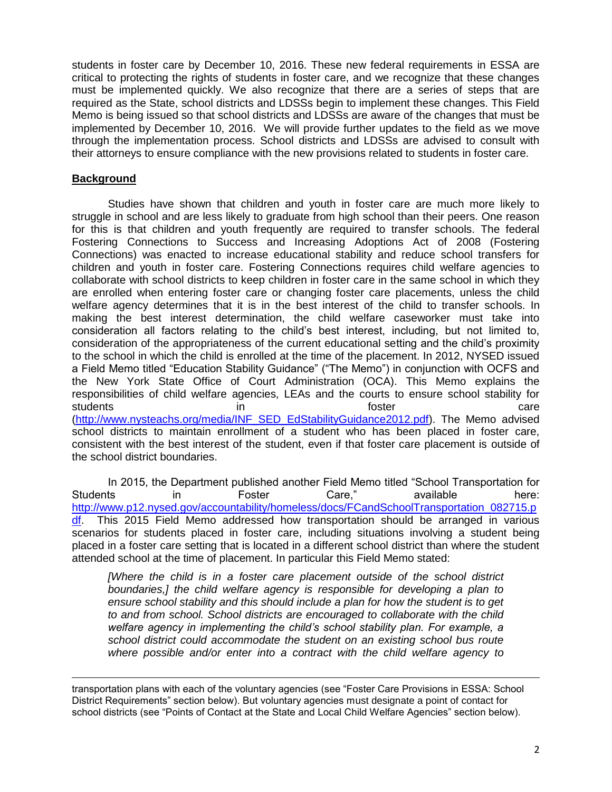students in foster care by December 10, 2016. These new federal requirements in ESSA are critical to protecting the rights of students in foster care, and we recognize that these changes must be implemented quickly. We also recognize that there are a series of steps that are required as the State, school districts and LDSSs begin to implement these changes. This Field Memo is being issued so that school districts and LDSSs are aware of the changes that must be implemented by December 10, 2016. We will provide further updates to the field as we move through the implementation process. School districts and LDSSs are advised to consult with their attorneys to ensure compliance with the new provisions related to students in foster care.

# **Background**

 $\overline{a}$ 

Studies have shown that children and youth in foster care are much more likely to struggle in school and are less likely to graduate from high school than their peers. One reason for this is that children and youth frequently are required to transfer schools. The federal Fostering Connections to Success and Increasing Adoptions Act of 2008 (Fostering Connections) was enacted to increase educational stability and reduce school transfers for children and youth in foster care. Fostering Connections requires child welfare agencies to collaborate with school districts to keep children in foster care in the same school in which they are enrolled when entering foster care or changing foster care placements, unless the child welfare agency determines that it is in the best interest of the child to transfer schools. In making the best interest determination, the child welfare caseworker must take into consideration all factors relating to the child's best interest, including, but not limited to, consideration of the appropriateness of the current educational setting and the child's proximity to the school in which the child is enrolled at the time of the placement. In 2012, NYSED issued a Field Memo titled "Education Stability Guidance" ("The Memo") in conjunction with OCFS and the New York State Office of Court Administration (OCA). This Memo explains the responsibilities of child welfare agencies, LEAs and the courts to ensure school stability for students and care in the students care care in the students of  $\alpha$  in the students of  $\alpha$ [\(http://www.nysteachs.org/media/INF\\_SED\\_EdStabilityGuidance2012.pdf\)](http://www.nysteachs.org/media/INF_SED_EdStabilityGuidance2012.pdf). The Memo advised school districts to maintain enrollment of a student who has been placed in foster care, consistent with the best interest of the student, even if that foster care placement is outside of the school district boundaries.

In 2015, the Department published another Field Memo titled "School Transportation for Students in Foster Care," available here: [http://www.p12.nysed.gov/accountability/homeless/docs/FCandSchoolTransportation\\_082715.p](http://www.p12.nysed.gov/accountability/homeless/docs/FCandSchoolTransportation_082715.pdf) [df.](http://www.p12.nysed.gov/accountability/homeless/docs/FCandSchoolTransportation_082715.pdf) This 2015 Field Memo addressed how transportation should be arranged in various scenarios for students placed in foster care, including situations involving a student being placed in a foster care setting that is located in a different school district than where the student attended school at the time of placement. In particular this Field Memo stated:

*[Where the child is in a foster care placement outside of the school district boundaries,] the child welfare agency is responsible for developing a plan to ensure school stability and this should include a plan for how the student is to get to and from school. School districts are encouraged to collaborate with the child welfare agency in implementing the child's school stability plan. For example, a school district could accommodate the student on an existing school bus route where possible and/or enter into a contract with the child welfare agency to* 

transportation plans with each of the voluntary agencies (see "Foster Care Provisions in ESSA: School District Requirements" section below). But voluntary agencies must designate a point of contact for school districts (see "Points of Contact at the State and Local Child Welfare Agencies" section below).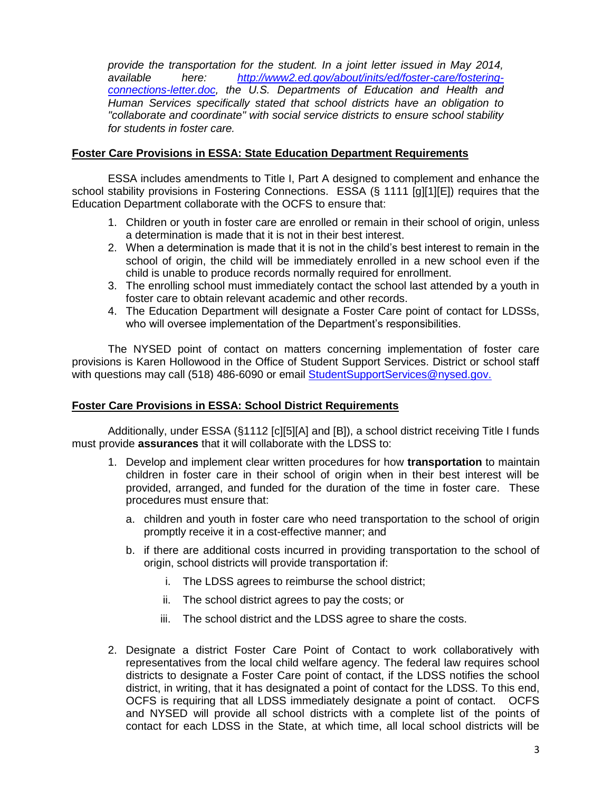*provide the transportation for the student. In a joint letter issued in May 2014, available here: [http://www2.ed.gov/about/inits/ed/foster-care/fostering](http://www2.ed.gov/about/inits/ed/foster-care/fostering-connections-letter.doc)[connections-letter.doc,](http://www2.ed.gov/about/inits/ed/foster-care/fostering-connections-letter.doc) the U.S. Departments of Education and Health and Human Services specifically stated that school districts have an obligation to "collaborate and coordinate" with social service districts to ensure school stability for students in foster care.* 

### **Foster Care Provisions in ESSA: State Education Department Requirements**

ESSA includes amendments to Title I, Part A designed to complement and enhance the school stability provisions in Fostering Connections. ESSA (§ 1111 [g][1][E]) requires that the Education Department collaborate with the OCFS to ensure that:

- 1. Children or youth in foster care are enrolled or remain in their school of origin, unless a determination is made that it is not in their best interest.
- 2. When a determination is made that it is not in the child's best interest to remain in the school of origin, the child will be immediately enrolled in a new school even if the child is unable to produce records normally required for enrollment.
- 3. The enrolling school must immediately contact the school last attended by a youth in foster care to obtain relevant academic and other records.
- 4. The Education Department will designate a Foster Care point of contact for LDSSs, who will oversee implementation of the Department's responsibilities.

The NYSED point of contact on matters concerning implementation of foster care provisions is Karen Hollowood in the Office of Student Support Services. District or school staff with questions may call (518) 486-6090 or email [StudentSupportServices@nysed.gov.](mailto:StudentSupportServices@nysed.gov)

### **Foster Care Provisions in ESSA: School District Requirements**

Additionally, under ESSA (§1112 [c][5][A] and [B]), a school district receiving Title I funds must provide **assurances** that it will collaborate with the LDSS to:

- 1. Develop and implement clear written procedures for how **transportation** to maintain children in foster care in their school of origin when in their best interest will be provided, arranged, and funded for the duration of the time in foster care. These procedures must ensure that:
	- a. children and youth in foster care who need transportation to the school of origin promptly receive it in a cost-effective manner; and
	- b. if there are additional costs incurred in providing transportation to the school of origin, school districts will provide transportation if:
		- i. The LDSS agrees to reimburse the school district;
		- ii. The school district agrees to pay the costs; or
		- iii. The school district and the LDSS agree to share the costs.
- 2. Designate a district Foster Care Point of Contact to work collaboratively with representatives from the local child welfare agency. The federal law requires school districts to designate a Foster Care point of contact, if the LDSS notifies the school district, in writing, that it has designated a point of contact for the LDSS. To this end, OCFS is requiring that all LDSS immediately designate a point of contact. OCFS and NYSED will provide all school districts with a complete list of the points of contact for each LDSS in the State, at which time, all local school districts will be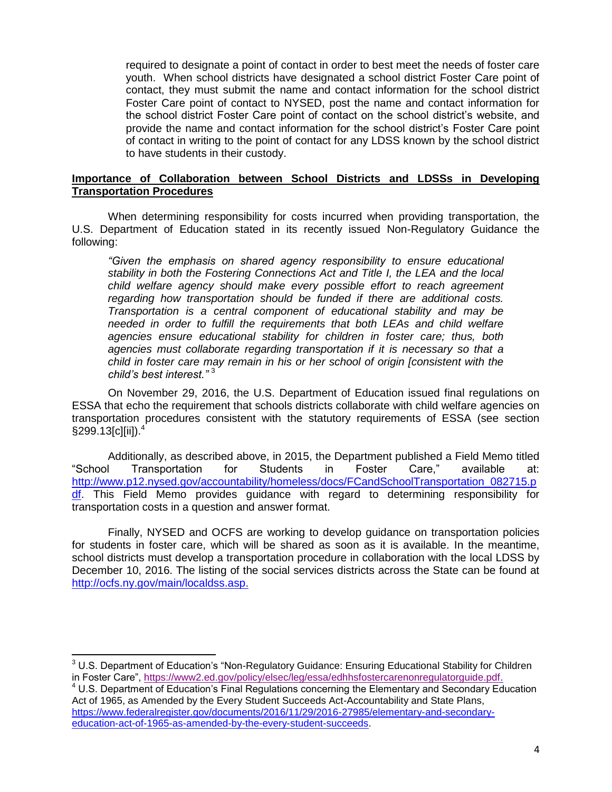required to designate a point of contact in order to best meet the needs of foster care youth. When school districts have designated a school district Foster Care point of contact, they must submit the name and contact information for the school district Foster Care point of contact to NYSED, post the name and contact information for the school district Foster Care point of contact on the school district's website, and provide the name and contact information for the school district's Foster Care point of contact in writing to the point of contact for any LDSS known by the school district to have students in their custody.

### **Importance of Collaboration between School Districts and LDSSs in Developing Transportation Procedures**

When determining responsibility for costs incurred when providing transportation, the U.S. Department of Education stated in its recently issued Non-Regulatory Guidance the following:

*"Given the emphasis on shared agency responsibility to ensure educational stability in both the Fostering Connections Act and Title I, the LEA and the local child welfare agency should make every possible effort to reach agreement regarding how transportation should be funded if there are additional costs. Transportation is a central component of educational stability and may be needed in order to fulfill the requirements that both LEAs and child welfare agencies ensure educational stability for children in foster care; thus, both agencies must collaborate regarding transportation if it is necessary so that a child in foster care may remain in his or her school of origin [consistent with the child's best interest."* <sup>3</sup>

On November 29, 2016, the U.S. Department of Education issued final regulations on ESSA that echo the requirement that schools districts collaborate with child welfare agencies on transportation procedures consistent with the statutory requirements of ESSA (see section §299.13[c][ii]).<sup>4</sup>

Additionally, as described above, in 2015, the Department published a Field Memo titled "School Transportation for Students in Foster Care," available at: [http://www.p12.nysed.gov/accountability/homeless/docs/FCandSchoolTransportation\\_082715.p](http://www.p12.nysed.gov/accountability/homeless/docs/FCandSchoolTransportation_082715.pdf) [df.](http://www.p12.nysed.gov/accountability/homeless/docs/FCandSchoolTransportation_082715.pdf) This Field Memo provides guidance with regard to determining responsibility for transportation costs in a question and answer format.

Finally, NYSED and OCFS are working to develop guidance on transportation policies for students in foster care, which will be shared as soon as it is available. In the meantime, school districts must develop a transportation procedure in collaboration with the local LDSS by December 10, 2016. The listing of the social services districts across the State can be found at [http://ocfs.ny.gov/main/localdss.asp.](http://ocfs.ny.gov/main/localdss.asp)

 $\overline{\phantom{a}}$ 

 $3$  U.S. Department of Education's "Non-Regulatory Guidance: Ensuring Educational Stability for Children in Foster Care", [https://www2.ed.gov/policy/elsec/leg/essa/edhhsfostercarenonregulatorguide.pdf.](https://www2.ed.gov/policy/elsec/leg/essa/edhhsfostercarenonregulatorguide.pdf)

<sup>4</sup> U.S. Department of Education's Final Regulations concerning the Elementary and Secondary Education Act of 1965, as Amended by the Every Student Succeeds Act-Accountability and State Plans, [https://www.federalregister.gov/documents/2016/11/29/2016-27985/elementary-and-secondary](https://www.federalregister.gov/documents/2016/11/29/2016-27985/elementary-and-secondary-education-act-of-1965-as-amended-by-the-every-student-succeeds)[education-act-of-1965-as-amended-by-the-every-student-succeeds.](https://www.federalregister.gov/documents/2016/11/29/2016-27985/elementary-and-secondary-education-act-of-1965-as-amended-by-the-every-student-succeeds)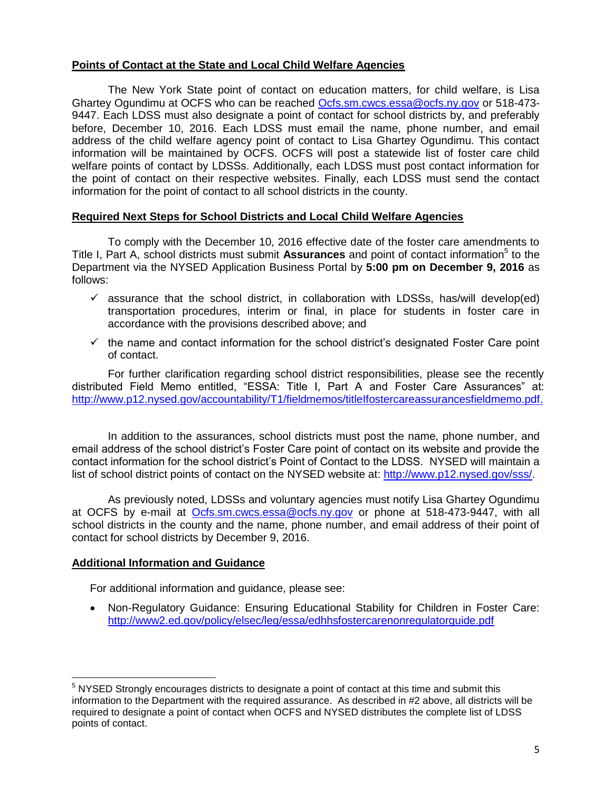## **Points of Contact at the State and Local Child Welfare Agencies**

The New York State point of contact on education matters, for child welfare, is Lisa Ghartey Ogundimu at OCFS who can be reached [Ocfs.sm.cwcs.essa@ocfs.ny.gov](mailto:Ocfs.sm.cwcs.essa@ocfs.ny.gov) or 518-473- 9447. Each LDSS must also designate a point of contact for school districts by, and preferably before, December 10, 2016. Each LDSS must email the name, phone number, and email address of the child welfare agency point of contact to Lisa Ghartey Ogundimu. This contact information will be maintained by OCFS. OCFS will post a statewide list of foster care child welfare points of contact by LDSSs. Additionally, each LDSS must post contact information for the point of contact on their respective websites. Finally, each LDSS must send the contact information for the point of contact to all school districts in the county.

### **Required Next Steps for School Districts and Local Child Welfare Agencies**

To comply with the December 10, 2016 effective date of the foster care amendments to Title I, Part A, school districts must submit Assurances and point of contact information<sup>5</sup> to the Department via the NYSED Application Business Portal by **5:00 pm on December 9, 2016** as follows:

- $\checkmark$  assurance that the school district, in collaboration with LDSSs, has/will develop(ed) transportation procedures, interim or final, in place for students in foster care in accordance with the provisions described above; and
- $\checkmark$  the name and contact information for the school district's designated Foster Care point of contact.

For further clarification regarding school district responsibilities, please see the recently distributed Field Memo entitled, "ESSA: Title I, Part A and Foster Care Assurances" at: [http://www.p12.nysed.gov/accountability/T1/fieldmemos/titleIfostercareassurancesfieldmemo.pdf.](http://www.p12.nysed.gov/accountability/T1/fieldmemos/titleIfostercareassurancesfieldmemo.pdf)

 In addition to the assurances, school districts must post the name, phone number, and email address of the school district's Foster Care point of contact on its website and provide the contact information for the school district's Point of Contact to the LDSS. NYSED will maintain a list of school district points of contact on the NYSED website at: [http://www.p12.nysed.gov/sss/.](http://www.p12.nysed.gov/sss/)

As previously noted, LDSSs and voluntary agencies must notify Lisa Ghartey Ogundimu at OCFS by e-mail at [Ocfs.sm.cwcs.essa@ocfs.ny.gov](mailto:Ocfs.sm.cwcs.essa@ocfs.ny.gov) or phone at 518-473-9447, with all school districts in the county and the name, phone number, and email address of their point of contact for school districts by December 9, 2016.

### **Additional Information and Guidance**

 $\overline{a}$ 

For additional information and guidance, please see:

 Non-Regulatory Guidance: Ensuring Educational Stability for Children in Foster Care: <http://www2.ed.gov/policy/elsec/leg/essa/edhhsfostercarenonregulatorguide.pdf>

 $<sup>5</sup>$  NYSED Strongly encourages districts to designate a point of contact at this time and submit this</sup> information to the Department with the required assurance. As described in #2 above, all districts will be required to designate a point of contact when OCFS and NYSED distributes the complete list of LDSS points of contact.